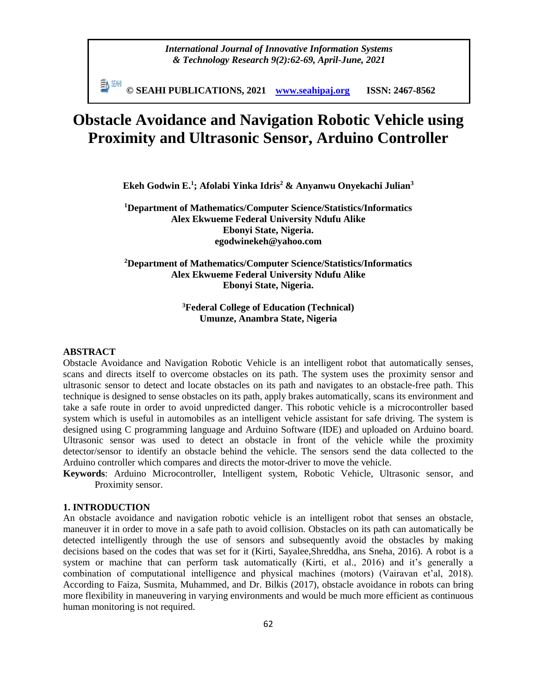*International Journal of Innovative Information Systems & Technology Research 9(2):62-69, April-June, 2021*

≣N SEMH **© SEAHI PUBLICATIONS, 2021 [www.seahipaj.org](http://www.seahipaj.org/) ISSN: 2467-8562**

# **Obstacle Avoidance and Navigation Robotic Vehicle using Proximity and Ultrasonic Sensor, Arduino Controller**

**Ekeh Godwin E.<sup>1</sup> ; Afolabi Yinka Idris<sup>2</sup> & Anyanwu Onyekachi Julian<sup>3</sup>**

**<sup>1</sup>Department of Mathematics/Computer Science/Statistics/Informatics Alex Ekwueme Federal University Ndufu Alike Ebonyi State, Nigeria. egodwinekeh@yahoo.com**

# **<sup>2</sup>Department of Mathematics/Computer Science/Statistics/Informatics Alex Ekwueme Federal University Ndufu Alike Ebonyi State, Nigeria.**

# **<sup>3</sup>Federal College of Education (Technical) Umunze, Anambra State, Nigeria**

## **ABSTRACT**

Obstacle Avoidance and Navigation Robotic Vehicle is an intelligent robot that automatically senses, scans and directs itself to overcome obstacles on its path. The system uses the proximity sensor and ultrasonic sensor to detect and locate obstacles on its path and navigates to an obstacle-free path. This technique is designed to sense obstacles on its path, apply brakes automatically, scans its environment and take a safe route in order to avoid unpredicted danger. This robotic vehicle is a microcontroller based system which is useful in automobiles as an intelligent vehicle assistant for safe driving. The system is designed using C programming language and Arduino Software (IDE) and uploaded on Arduino board. Ultrasonic sensor was used to detect an obstacle in front of the vehicle while the proximity detector/sensor to identify an obstacle behind the vehicle. The sensors send the data collected to the Arduino controller which compares and directs the motor-driver to move the vehicle.

**Keywords**: Arduino Microcontroller, Intelligent system, Robotic Vehicle, Ultrasonic sensor, and Proximity sensor.

# **1. INTRODUCTION**

An obstacle avoidance and navigation robotic vehicle is an intelligent robot that senses an obstacle, maneuver it in order to move in a safe path to avoid collision. Obstacles on its path can automatically be detected intelligently through the use of sensors and subsequently avoid the obstacles by making decisions based on the codes that was set for it (Kirti, Sayalee,Shreddha, ans Sneha, 2016). A robot is a system or machine that can perform task automatically (Kirti, et al., 2016) and it's generally a combination of computational intelligence and physical machines (motors) (Vairavan et'al, 2018). According to Faiza, Susmita, Muhammed, and Dr. Bilkis (2017), obstacle avoidance in robots can bring more flexibility in maneuvering in varying environments and would be much more efficient as continuous human monitoring is not required.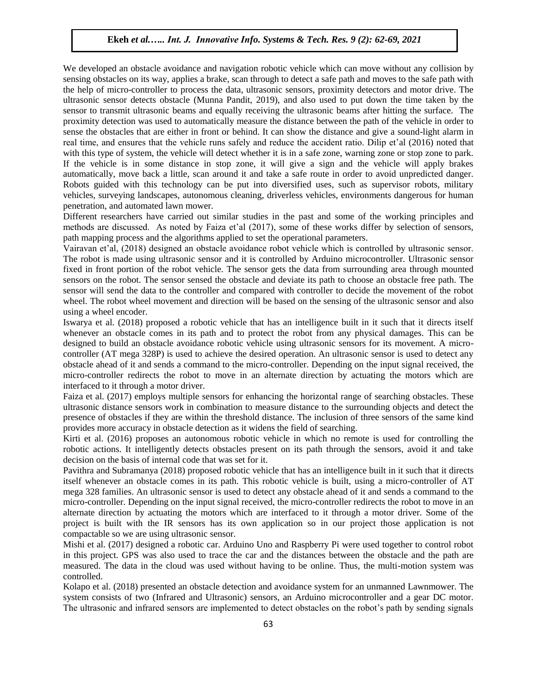## **Ekeh** *et al.….. Int. J. Innovative Info. Systems & Tech. Res. 9 (2): 62-69, 2021*

We developed an obstacle avoidance and navigation robotic vehicle which can move without any collision by sensing obstacles on its way, applies a brake, scan through to detect a safe path and moves to the safe path with the help of micro-controller to process the data, ultrasonic sensors, proximity detectors and motor drive. The ultrasonic sensor detects obstacle (Munna Pandit, 2019), and also used to put down the time taken by the sensor to transmit ultrasonic beams and equally receiving the ultrasonic beams after hitting the surface. The proximity detection was used to automatically measure the distance between the path of the vehicle in order to sense the obstacles that are either in front or behind. It can show the distance and give a sound-light alarm in real time, and ensures that the vehicle runs safely and reduce the accident ratio. Dilip et'al (2016) noted that with this type of system, the vehicle will detect whether it is in a safe zone, warning zone or stop zone to park. If the vehicle is in some distance in stop zone, it will give a sign and the vehicle will apply brakes automatically, move back a little, scan around it and take a safe route in order to avoid unpredicted danger. Robots guided with this technology can be put into diversified uses, such as supervisor robots, military vehicles, surveying landscapes, autonomous cleaning, driverless vehicles, environments dangerous for human penetration, and automated lawn mower.

Different researchers have carried out similar studies in the past and some of the working principles and methods are discussed. As noted by Faiza et'al (2017), some of these works differ by selection of sensors, path mapping process and the algorithms applied to set the operational parameters.

Vairavan et'al, (2018) designed an obstacle avoidance robot vehicle which is controlled by ultrasonic sensor. The robot is made using ultrasonic sensor and it is controlled by Arduino microcontroller. Ultrasonic sensor fixed in front portion of the robot vehicle. The sensor gets the data from surrounding area through mounted sensors on the robot. The sensor sensed the obstacle and deviate its path to choose an obstacle free path. The sensor will send the data to the controller and compared with controller to decide the movement of the robot wheel. The robot wheel movement and direction will be based on the sensing of the ultrasonic sensor and also using a wheel encoder.

Iswarya et al. (2018) proposed a robotic vehicle that has an intelligence built in it such that it directs itself whenever an obstacle comes in its path and to protect the robot from any physical damages. This can be designed to build an obstacle avoidance robotic vehicle using ultrasonic sensors for its movement. A microcontroller (AT mega 328P) is used to achieve the desired operation. An ultrasonic sensor is used to detect any obstacle ahead of it and sends a command to the micro-controller. Depending on the input signal received, the micro-controller redirects the robot to move in an alternate direction by actuating the motors which are interfaced to it through a motor driver.

Faiza et al. (2017) employs multiple sensors for enhancing the horizontal range of searching obstacles. These ultrasonic distance sensors work in combination to measure distance to the surrounding objects and detect the presence of obstacles if they are within the threshold distance. The inclusion of three sensors of the same kind provides more accuracy in obstacle detection as it widens the field of searching.

Kirti et al. (2016) proposes an autonomous robotic vehicle in which no remote is used for controlling the robotic actions. It intelligently detects obstacles present on its path through the sensors, avoid it and take decision on the basis of internal code that was set for it.

Pavithra and Subramanya (2018) proposed robotic vehicle that has an intelligence built in it such that it directs itself whenever an obstacle comes in its path. This robotic vehicle is built, using a micro-controller of AT mega 328 families. An ultrasonic sensor is used to detect any obstacle ahead of it and sends a command to the micro-controller. Depending on the input signal received, the micro-controller redirects the robot to move in an alternate direction by actuating the motors which are interfaced to it through a motor driver. Some of the project is built with the IR sensors has its own application so in our project those application is not compactable so we are using ultrasonic sensor.

Mishi et al. (2017) designed a robotic car. Arduino Uno and Raspberry Pi were used together to control robot in this project. GPS was also used to trace the car and the distances between the obstacle and the path are measured. The data in the cloud was used without having to be online. Thus, the multi-motion system was controlled.

Kolapo et al. (2018) presented an obstacle detection and avoidance system for an unmanned Lawnmower. The system consists of two (Infrared and Ultrasonic) sensors, an Arduino microcontroller and a gear DC motor. The ultrasonic and infrared sensors are implemented to detect obstacles on the robot's path by sending signals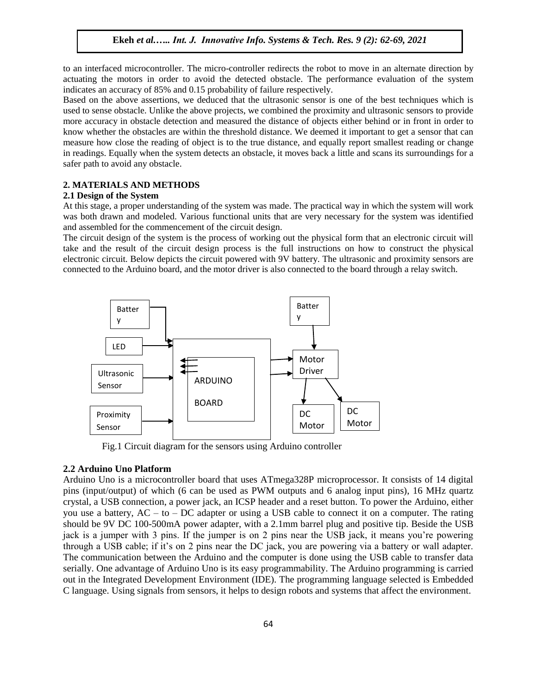# **Ekeh** *et al.….. Int. J. Innovative Info. Systems & Tech. Res. 9 (2): 62-69, 2021*

to an interfaced microcontroller. The micro-controller redirects the robot to move in an alternate direction by actuating the motors in order to avoid the detected obstacle. The performance evaluation of the system indicates an accuracy of 85% and 0.15 probability of failure respectively.

Based on the above assertions, we deduced that the ultrasonic sensor is one of the best techniques which is used to sense obstacle. Unlike the above projects, we combined the proximity and ultrasonic sensors to provide more accuracy in obstacle detection and measured the distance of objects either behind or in front in order to know whether the obstacles are within the threshold distance. We deemed it important to get a sensor that can measure how close the reading of object is to the true distance, and equally report smallest reading or change in readings. Equally when the system detects an obstacle, it moves back a little and scans its surroundings for a safer path to avoid any obstacle.

#### **2. MATERIALS AND METHODS**

#### **2.1 Design of the System**

At this stage, a proper understanding of the system was made. The practical way in which the system will work was both drawn and modeled. Various functional units that are very necessary for the system was identified and assembled for the commencement of the circuit design.

The circuit design of the system is the process of working out the physical form that an electronic circuit will take and the result of the circuit design process is the full instructions on how to construct the physical electronic circuit. Below depicts the circuit powered with 9V battery. The ultrasonic and proximity sensors are connected to the Arduino board, and the motor driver is also connected to the board through a relay switch.



Fig.1 Circuit diagram for the sensors using Arduino controller

#### **2.2 Arduino Uno Platform**

Arduino Uno is a microcontroller board that uses ATmega328P microprocessor. It consists of 14 digital pins (input/output) of which (6 can be used as PWM outputs and 6 analog input pins), 16 MHz quartz crystal, a USB connection, a power jack, an ICSP header and a reset button. To power the Arduino, either you use a battery,  $AC - to - DC$  adapter or using a USB cable to connect it on a computer. The rating should be 9V DC 100-500mA power adapter, with a 2.1mm barrel plug and positive tip. Beside the USB jack is a jumper with 3 pins. If the jumper is on 2 pins near the USB jack, it means you're powering through a USB cable; if it's on 2 pins near the DC jack, you are powering via a battery or wall adapter. The communication between the Arduino and the computer is done using the USB cable to transfer data serially. One advantage of Arduino Uno is its easy programmability. The Arduino programming is carried out in the Integrated Development Environment (IDE). The programming language selected is Embedded C language. Using signals from sensors, it helps to design robots and systems that affect the environment.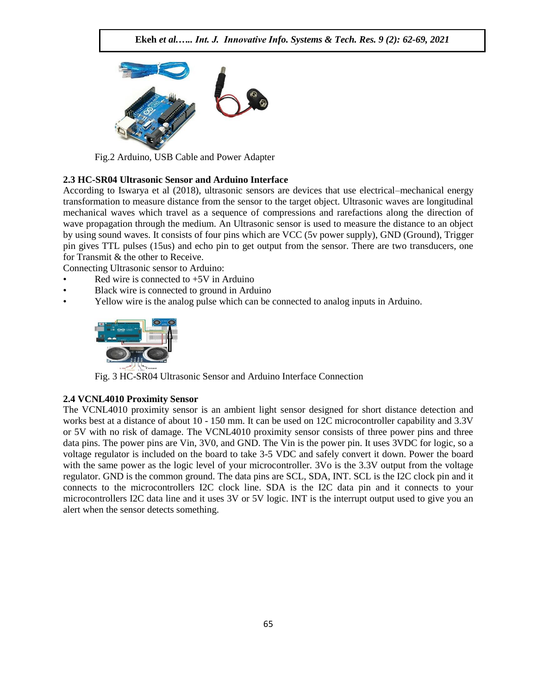

Fig.2 Arduino, USB Cable and Power Adapter

# **2.3 HC-SR04 Ultrasonic Sensor and Arduino Interface**

According to Iswarya et al (2018), ultrasonic sensors are devices that use electrical–mechanical energy transformation to measure distance from the sensor to the target object. Ultrasonic waves are longitudinal mechanical waves which travel as a sequence of compressions and rarefactions along the direction of wave propagation through the medium. An Ultrasonic sensor is used to measure the distance to an object by using sound waves. It consists of four pins which are VCC (5v power supply), GND (Ground), Trigger pin gives TTL pulses (15us) and echo pin to get output from the sensor. There are two transducers, one for Transmit & the other to Receive.

Connecting Ultrasonic sensor to Arduino:

- Red wire is connected to  $+5V$  in Arduino
- Black wire is connected to ground in Arduino
- Yellow wire is the analog pulse which can be connected to analog inputs in Arduino.



Fig. 3 HC-SR04 Ultrasonic Sensor and Arduino Interface Connection

## **2.4 VCNL4010 Proximity Sensor**

The VCNL4010 proximity sensor is an ambient light sensor designed for short distance detection and works best at a distance of about 10 - 150 mm. It can be used on 12C microcontroller capability and 3.3V or 5V with no risk of damage. The VCNL4010 proximity sensor consists of three power pins and three data pins. The power pins are Vin, 3V0, and GND. The Vin is the power pin. It uses 3VDC for logic, so a voltage regulator is included on the board to take 3-5 VDC and safely convert it down. Power the board with the same power as the logic level of your microcontroller. 3Vo is the 3.3V output from the voltage regulator. GND is the common ground. The data pins are SCL, SDA, INT. SCL is the I2C clock pin and it connects to the microcontrollers I2C clock line. SDA is the I2C data pin and it connects to your microcontrollers I2C data line and it uses 3V or 5V logic. INT is the interrupt output used to give you an alert when the sensor detects something.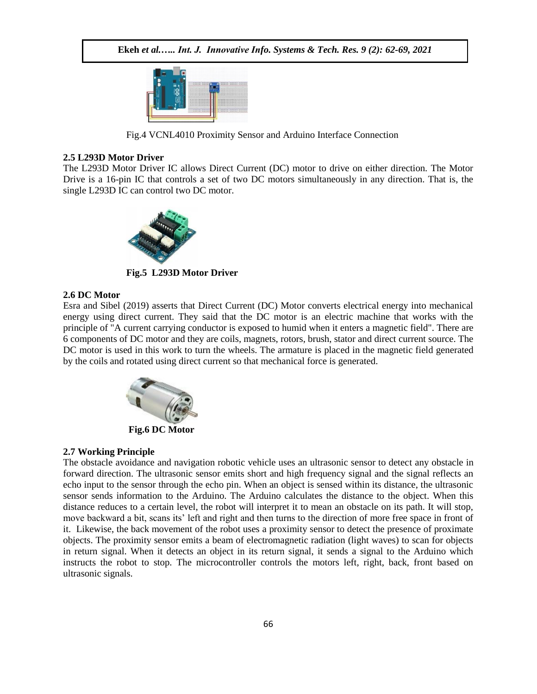

Fig.4 VCNL4010 Proximity Sensor and Arduino Interface Connection

#### **2.5 L293D Motor Driver**

The L293D Motor Driver IC allows Direct Current (DC) motor to drive on either direction. The Motor Drive is a 16-pin IC that controls a set of two DC motors simultaneously in any direction. That is, the single L293D IC can control two DC motor.



**Fig.5 L293D Motor Driver**

## **2.6 DC Motor**

Esra and Sibel (2019) asserts that Direct Current (DC) Motor converts electrical energy into mechanical energy using direct current. They said that the DC motor is an electric machine that works with the principle of "A current carrying conductor is exposed to humid when it enters a magnetic field". There are 6 components of DC motor and they are coils, magnets, rotors, brush, stator and direct current source. The DC motor is used in this work to turn the wheels. The armature is placed in the magnetic field generated by the coils and rotated using direct current so that mechanical force is generated.



#### **2.7 Working Principle**

The obstacle avoidance and navigation robotic vehicle uses an ultrasonic sensor to detect any obstacle in forward direction. The ultrasonic sensor emits short and high frequency signal and the signal reflects an echo input to the sensor through the echo pin. When an object is sensed within its distance, the ultrasonic sensor sends information to the Arduino. The Arduino calculates the distance to the object. When this distance reduces to a certain level, the robot will interpret it to mean an obstacle on its path. It will stop, move backward a bit, scans its' left and right and then turns to the direction of more free space in front of it. Likewise, the back movement of the robot uses a proximity sensor to detect the presence of proximate objects. The proximity sensor emits a beam of electromagnetic radiation (light waves) to scan for objects in return signal. When it detects an object in its return signal, it sends a signal to the Arduino which instructs the robot to stop. The microcontroller controls the motors left, right, back, front based on ultrasonic signals.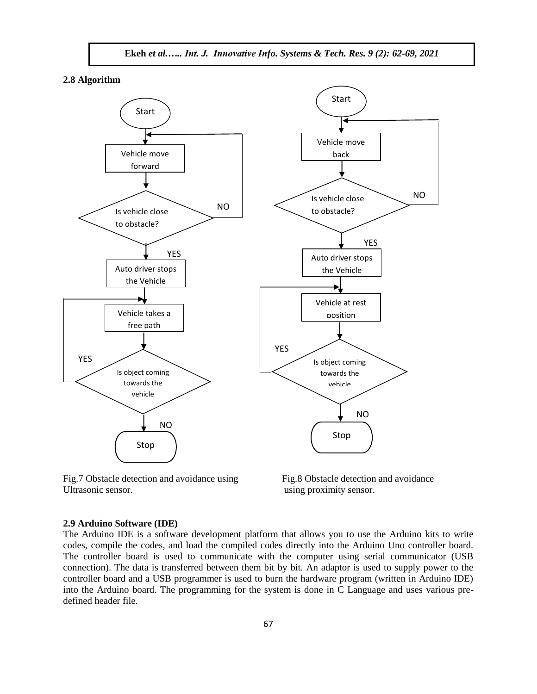

**2.8 Algorithm**



Fig.7 Obstacle detection and avoidance using Fig.8 Obstacle detection and avoidance Ultrasonic sensor. using proximity sensor.

#### **2.9 Arduino Software (IDE)**

The Arduino IDE is a software development platform that allows you to use the Arduino kits to write codes, compile the codes, and load the compiled codes directly into the Arduino Uno controller board. The controller board is used to communicate with the computer using serial communicator (USB connection). The data is transferred between them bit by bit. An adaptor is used to supply power to the controller board and a USB programmer is used to burn the hardware program (written in Arduino IDE) into the Arduino board. The programming for the system is done in C Language and uses various predefined header file.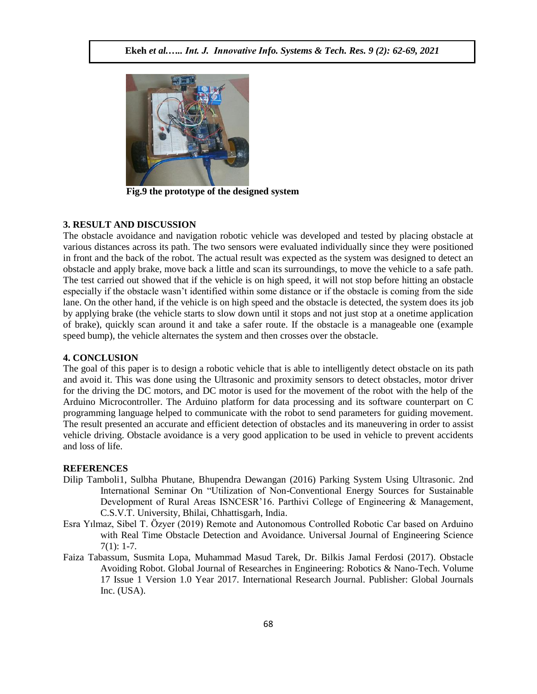

**Fig.9 the prototype of the designed system**

## **3. RESULT AND DISCUSSION**

The obstacle avoidance and navigation robotic vehicle was developed and tested by placing obstacle at various distances across its path. The two sensors were evaluated individually since they were positioned in front and the back of the robot. The actual result was expected as the system was designed to detect an obstacle and apply brake, move back a little and scan its surroundings, to move the vehicle to a safe path. The test carried out showed that if the vehicle is on high speed, it will not stop before hitting an obstacle especially if the obstacle wasn't identified within some distance or if the obstacle is coming from the side lane. On the other hand, if the vehicle is on high speed and the obstacle is detected, the system does its job by applying brake (the vehicle starts to slow down until it stops and not just stop at a onetime application of brake), quickly scan around it and take a safer route. If the obstacle is a manageable one (example speed bump), the vehicle alternates the system and then crosses over the obstacle.

## **4. CONCLUSION**

The goal of this paper is to design a robotic vehicle that is able to intelligently detect obstacle on its path and avoid it. This was done using the Ultrasonic and proximity sensors to detect obstacles, motor driver for the driving the DC motors, and DC motor is used for the movement of the robot with the help of the Arduino Microcontroller. The Arduino platform for data processing and its software counterpart on C programming language helped to communicate with the robot to send parameters for guiding movement. The result presented an accurate and efficient detection of obstacles and its maneuvering in order to assist vehicle driving. Obstacle avoidance is a very good application to be used in vehicle to prevent accidents and loss of life.

# **REFERENCES**

- Dilip Tamboli1, Sulbha Phutane, Bhupendra Dewangan (2016) Parking System Using Ultrasonic. 2nd International Seminar On "Utilization of Non-Conventional Energy Sources for Sustainable Development of Rural Areas ISNCESR'16. Parthivi College of Engineering & Management, C.S.V.T. University, Bhilai, Chhattisgarh, India.
- Esra Yılmaz, Sibel T. Özyer (2019) Remote and Autonomous Controlled Robotic Car based on Arduino with Real Time Obstacle Detection and Avoidance. Universal Journal of Engineering Science 7(1): 1-7.
- Faiza Tabassum, Susmita Lopa, Muhammad Masud Tarek, Dr. Bilkis Jamal Ferdosi (2017). Obstacle Avoiding Robot. Global Journal of Researches in Engineering: Robotics & Nano-Tech. Volume 17 Issue 1 Version 1.0 Year 2017. International Research Journal. Publisher: Global Journals Inc. (USA).